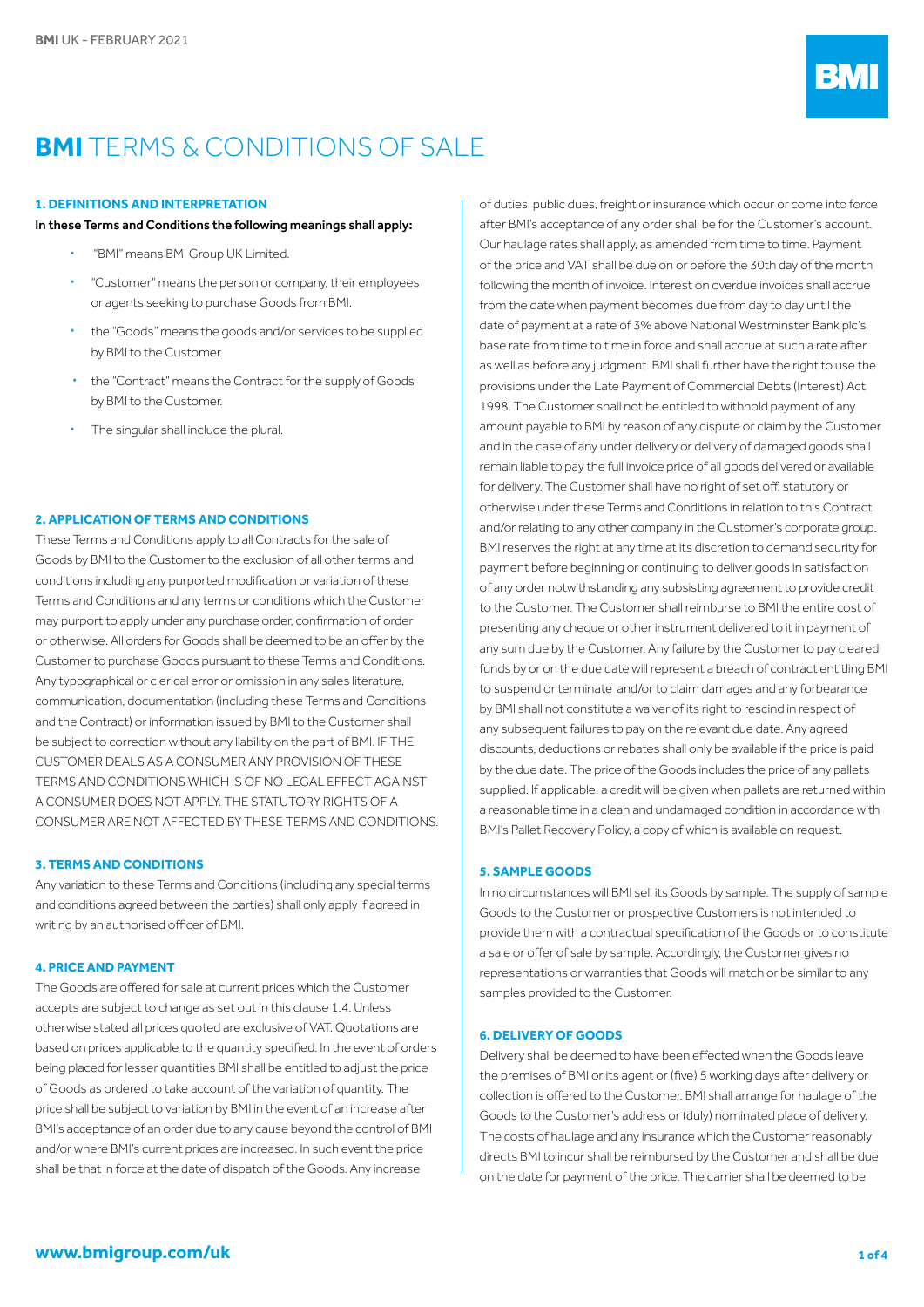# **BMI** TERMS & CONDITIONS OF SALE

#### **1. DEFINITIONS AND INTERPRETATION**

#### In these Terms and Conditions the following meanings shall apply:

- "BMI" means BMI Group UK Limited.
- "Customer" means the person or company, their employees or agents seeking to purchase Goods from BMI.
- the "Goods" means the goods and/or services to be supplied by BMI to the Customer.
- the "Contract" means the Contract for the supply of Goods by BMI to the Customer.
- The singular shall include the plural

## **2. APPLICATION OF TERMS AND CONDITIONS**

These Terms and Conditions apply to all Contracts for the sale of Goods by BMI to the Customer to the exclusion of all other terms and conditions including any purported modification or variation of these Terms and Conditions and any terms or conditions which the Customer may purport to apply under any purchase order, confirmation of order or otherwise. All orders for Goods shall be deemed to be an offer by the Customer to purchase Goods pursuant to these Terms and Conditions. Any typographical or clerical error or omission in any sales literature, communication, documentation (including these Terms and Conditions and the Contract) or information issued by BMI to the Customer shall be subject to correction without any liability on the part of BMI. IF THE CUSTOMER DEALS AS A CONSUMER ANY PROVISION OF THESE TERMS AND CONDITIONS WHICH IS OF NO LEGAL EFFECT AGAINST A CONSUMER DOES NOT APPLY. THE STATUTORY RIGHTS OF A CONSUMER ARE NOT AFFECTED BY THESE TERMS AND CONDITIONS.

## **3. TERMS AND CONDITIONS**

Any variation to these Terms and Conditions (including any special terms and conditions agreed between the parties) shall only apply if agreed in writing by an authorised officer of BMI.

#### **4. PRICE AND PAYMENT**

The Goods are offered for sale at current prices which the Customer accepts are subject to change as set out in this clause 1.4. Unless otherwise stated all prices quoted are exclusive of VAT. Quotations are based on prices applicable to the quantity specified. In the event of orders being placed for lesser quantities BMI shall be entitled to adjust the price of Goods as ordered to take account of the variation of quantity. The price shall be subject to variation by BMI in the event of an increase after BMI's acceptance of an order due to any cause beyond the control of BMI and/or where BMI's current prices are increased. In such event the price shall be that in force at the date of dispatch of the Goods. Any increase

of duties, public dues, freight or insurance which occur or come into force after BMI's acceptance of any order shall be for the Customer's account. Our haulage rates shall apply, as amended from time to time. Payment of the price and VAT shall be due on or before the 30th day of the month following the month of invoice. Interest on overdue invoices shall accrue from the date when payment becomes due from day to day until the date of payment at a rate of 3% above National Westminster Bank plc's base rate from time to time in force and shall accrue at such a rate after as well as before any judgment. BMI shall further have the right to use the provisions under the Late Payment of Commercial Debts (Interest) Act 1998. The Customer shall not be entitled to withhold payment of any amount payable to BMI by reason of any dispute or claim by the Customer and in the case of any under delivery or delivery of damaged goods shall remain liable to pay the full invoice price of all goods delivered or available for delivery. The Customer shall have no right of set off, statutory or otherwise under these Terms and Conditions in relation to this Contract and/or relating to any other company in the Customer's corporate group. BMI reserves the right at any time at its discretion to demand security for payment before beginning or continuing to deliver goods in satisfaction of any order notwithstanding any subsisting agreement to provide credit to the Customer. The Customer shall reimburse to BMI the entire cost of presenting any cheque or other instrument delivered to it in payment of any sum due by the Customer. Any failure by the Customer to pay cleared funds by or on the due date will represent a breach of contract entitling BMI to suspend or terminate and/or to claim damages and any forbearance by BMI shall not constitute a waiver of its right to rescind in respect of any subsequent failures to pay on the relevant due date. Any agreed discounts, deductions or rebates shall only be available if the price is paid by the due date. The price of the Goods includes the price of any pallets supplied. If applicable, a credit will be given when pallets are returned within a reasonable time in a clean and undamaged condition in accordance with BMI's Pallet Recovery Policy, a copy of which is available on request.

#### **5. SAMPLE GOODS**

In no circumstances will BMI sell its Goods by sample. The supply of sample Goods to the Customer or prospective Customers is not intended to provide them with a contractual specification of the Goods or to constitute a sale or offer of sale by sample. Accordingly, the Customer gives no representations or warranties that Goods will match or be similar to any samples provided to the Customer.

# **6. DELIVERY OF GOODS**

Delivery shall be deemed to have been effected when the Goods leave the premises of BMI or its agent or (five) 5 working days after delivery or collection is offered to the Customer. BMI shall arrange for haulage of the Goods to the Customer's address or (duly) nominated place of delivery. The costs of haulage and any insurance which the Customer reasonably directs BMI to incur shall be reimbursed by the Customer and shall be due on the date for payment of the price. The carrier shall be deemed to be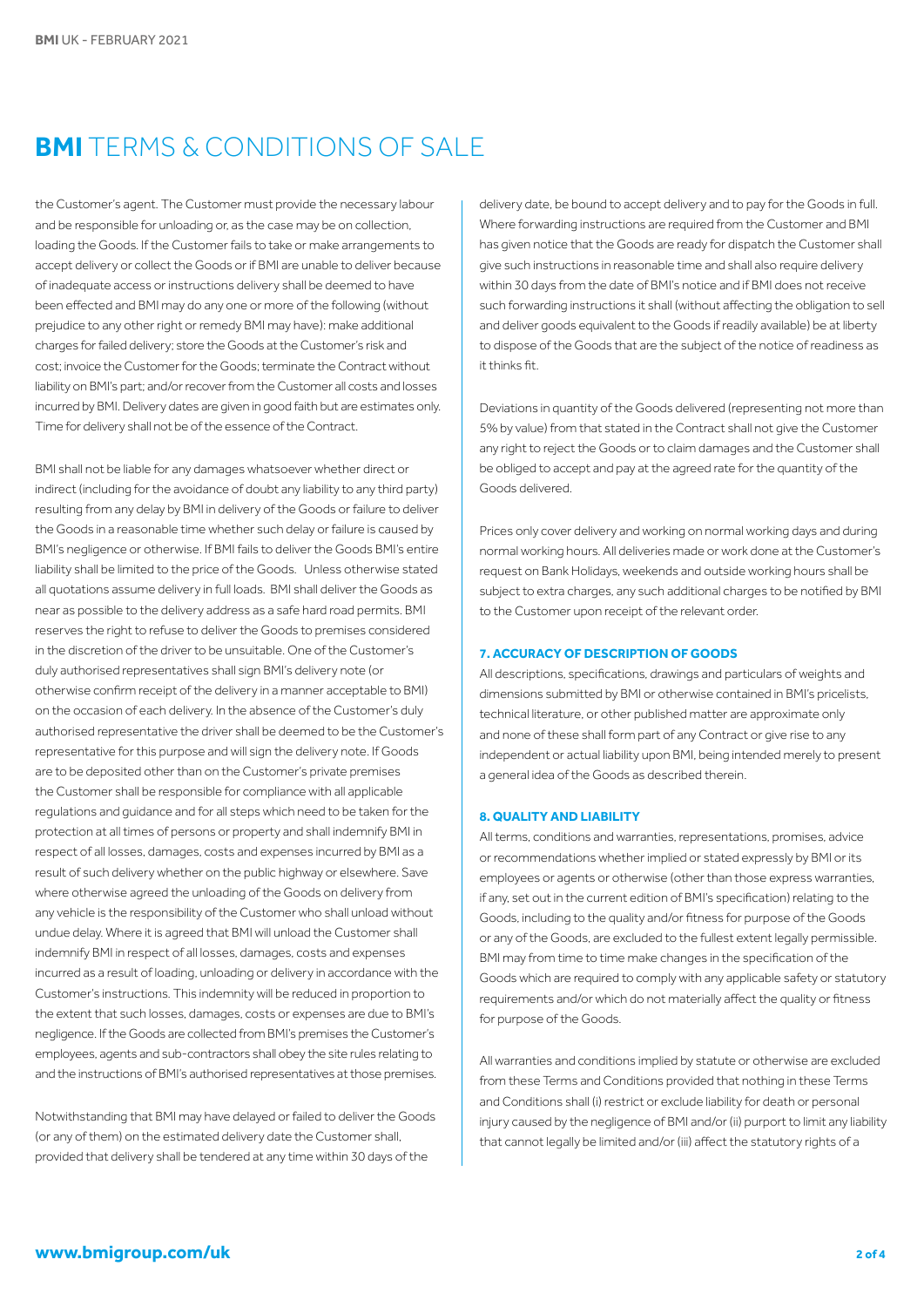# **BMI** TERMS & CONDITIONS OF SALE

the Customer's agent. The Customer must provide the necessary labour and be responsible for unloading or, as the case may be on collection, loading the Goods. If the Customer fails to take or make arrangements to accept delivery or collect the Goods or if BMI are unable to deliver because of inadequate access or instructions delivery shall be deemed to have been effected and BMI may do any one or more of the following (without prejudice to any other right or remedy BMI may have): make additional charges for failed delivery; store the Goods at the Customer's risk and cost; invoice the Customer for the Goods; terminate the Contract without liability on BMI's part; and/or recover from the Customer all costs and losses incurred by BMI. Delivery dates are given in good faith but are estimates only. Time for delivery shall not be of the essence of the Contract.

BMI shall not be liable for any damages whatsoever whether direct or indirect (including for the avoidance of doubt any liability to any third party) resulting from any delay by BMI in delivery of the Goods or failure to deliver the Goods in a reasonable time whether such delay or failure is caused by BMI's negligence or otherwise. If BMI fails to deliver the Goods BMI's entire liability shall be limited to the price of the Goods. Unless otherwise stated all quotations assume delivery in full loads. BMI shall deliver the Goods as near as possible to the delivery address as a safe hard road permits. BMI reserves the right to refuse to deliver the Goods to premises considered in the discretion of the driver to be unsuitable. One of the Customer's duly authorised representatives shall sign BMI's delivery note (or otherwise confirm receipt of the delivery in a manner acceptable to BMI) on the occasion of each delivery. In the absence of the Customer's duly authorised representative the driver shall be deemed to be the Customer's representative for this purpose and will sign the delivery note. If Goods are to be deposited other than on the Customer's private premises the Customer shall be responsible for compliance with all applicable regulations and guidance and for all steps which need to be taken for the protection at all times of persons or property and shall indemnify BMI in respect of all losses, damages, costs and expenses incurred by BMI as a result of such delivery whether on the public highway or elsewhere. Save where otherwise agreed the unloading of the Goods on delivery from any vehicle is the responsibility of the Customer who shall unload without undue delay. Where it is agreed that BMI will unload the Customer shall indemnify BMI in respect of all losses, damages, costs and expenses incurred as a result of loading, unloading or delivery in accordance with the Customer's instructions. This indemnity will be reduced in proportion to the extent that such losses, damages, costs or expenses are due to BMI's negligence. If the Goods are collected from BMI's premises the Customer's employees, agents and sub-contractors shall obey the site rules relating to and the instructions of BMI's authorised representatives at those premises.

Notwithstanding that BMI may have delayed or failed to deliver the Goods (or any of them) on the estimated delivery date the Customer shall, provided that delivery shall be tendered at any time within 30 days of the

delivery date, be bound to accept delivery and to pay for the Goods in full. Where forwarding instructions are required from the Customer and BMI has given notice that the Goods are ready for dispatch the Customer shall give such instructions in reasonable time and shall also require delivery within 30 days from the date of BMI's notice and if BMI does not receive such forwarding instructions it shall (without affecting the obligation to sell and deliver goods equivalent to the Goods if readily available) be at liberty to dispose of the Goods that are the subject of the notice of readiness as it thinks fit.

Deviations in quantity of the Goods delivered (representing not more than 5% by value) from that stated in the Contract shall not give the Customer any right to reject the Goods or to claim damages and the Customer shall be obliged to accept and pay at the agreed rate for the quantity of the Goods delivered.

Prices only cover delivery and working on normal working days and during normal working hours. All deliveries made or work done at the Customer's request on Bank Holidays, weekends and outside working hours shall be subject to extra charges, any such additional charges to be notified by BMI to the Customer upon receipt of the relevant order.

#### **7. ACCURACY OF DESCRIPTION OF GOODS**

All descriptions, specifications, drawings and particulars of weights and dimensions submitted by BMI or otherwise contained in BMI's pricelists, technical literature, or other published matter are approximate only and none of these shall form part of any Contract or give rise to any independent or actual liability upon BMI, being intended merely to present a general idea of the Goods as described therein.

### **8. QUALITY AND LIABILITY**

All terms, conditions and warranties, representations, promises, advice or recommendations whether implied or stated expressly by BMI or its employees or agents or otherwise (other than those express warranties, if any, set out in the current edition of BMI's specification) relating to the Goods, including to the quality and/or fitness for purpose of the Goods or any of the Goods, are excluded to the fullest extent legally permissible. BMI may from time to time make changes in the specification of the Goods which are required to comply with any applicable safety or statutory requirements and/or which do not materially affect the quality or fitness for purpose of the Goods.

All warranties and conditions implied by statute or otherwise are excluded from these Terms and Conditions provided that nothing in these Terms and Conditions shall (i) restrict or exclude liability for death or personal injury caused by the negligence of BMI and/or (ii) purport to limit any liability that cannot legally be limited and/or (iii) affect the statutory rights of a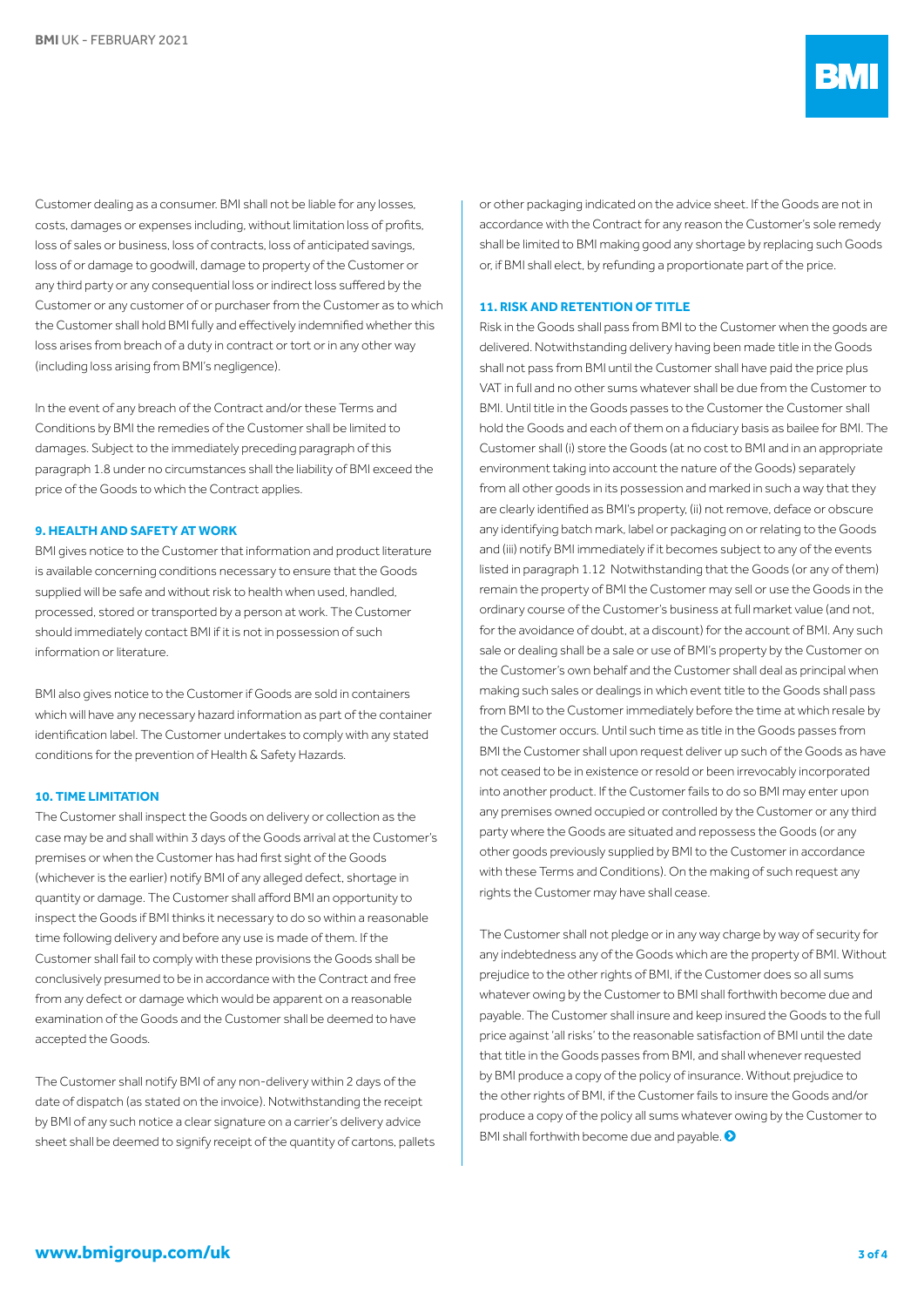Customer dealing as a consumer. BMI shall not be liable for any losses, costs, damages or expenses including, without limitation loss of profits, loss of sales or business, loss of contracts, loss of anticipated savings, loss of or damage to goodwill, damage to property of the Customer or any third party or any consequential loss or indirect loss suffered by the Customer or any customer of or purchaser from the Customer as to which the Customer shall hold BMI fully and effectively indemnified whether this loss arises from breach of a duty in contract or tort or in any other way (including loss arising from BMI's negligence).

In the event of any breach of the Contract and/or these Terms and Conditions by BMI the remedies of the Customer shall be limited to damages. Subject to the immediately preceding paragraph of this paragraph 1.8 under no circumstances shall the liability of BMI exceed the price of the Goods to which the Contract applies.

#### **9. HEALTH AND SAFETY AT WORK**

BMI gives notice to the Customer that information and product literature is available concerning conditions necessary to ensure that the Goods supplied will be safe and without risk to health when used, handled, processed, stored or transported by a person at work. The Customer should immediately contact BMI if it is not in possession of such information or literature.

BMI also gives notice to the Customer if Goods are sold in containers which will have any necessary hazard information as part of the container identification label. The Customer undertakes to comply with any stated conditions for the prevention of Health & Safety Hazards.

#### **10. TIME LIMITATION**

The Customer shall inspect the Goods on delivery or collection as the case may be and shall within 3 days of the Goods arrival at the Customer's premises or when the Customer has had first sight of the Goods (whichever is the earlier) notify BMI of any alleged defect, shortage in quantity or damage. The Customer shall afford BMI an opportunity to inspect the Goods if BMI thinks it necessary to do so within a reasonable time following delivery and before any use is made of them. If the Customer shall fail to comply with these provisions the Goods shall be conclusively presumed to be in accordance with the Contract and free from any defect or damage which would be apparent on a reasonable examination of the Goods and the Customer shall be deemed to have accepted the Goods.

The Customer shall notify BMI of any non-delivery within 2 days of the date of dispatch (as stated on the invoice). Notwithstanding the receipt by BMI of any such notice a clear signature on a carrier's delivery advice sheet shall be deemed to signify receipt of the quantity of cartons, pallets or other packaging indicated on the advice sheet. If the Goods are not in accordance with the Contract for any reason the Customer's sole remedy shall be limited to BMI making good any shortage by replacing such Goods or, if BMI shall elect, by refunding a proportionate part of the price.

#### **11. RISK AND RETENTION OF TITLE**

Risk in the Goods shall pass from BMI to the Customer when the goods are delivered. Notwithstanding delivery having been made title in the Goods shall not pass from BMI until the Customer shall have paid the price plus VAT in full and no other sums whatever shall be due from the Customer to BMI. Until title in the Goods passes to the Customer the Customer shall hold the Goods and each of them on a fiduciary basis as bailee for BMI. The Customer shall (i) store the Goods (at no cost to BMI and in an appropriate environment taking into account the nature of the Goods) separately from all other goods in its possession and marked in such a way that they are clearly identified as BMI's property, (ii) not remove, deface or obscure any identifying batch mark, label or packaging on or relating to the Goods and (iii) notify BMI immediately if it becomes subject to any of the events listed in paragraph 1.12 Notwithstanding that the Goods (or any of them) remain the property of BMI the Customer may sell or use the Goods in the ordinary course of the Customer's business at full market value (and not, for the avoidance of doubt, at a discount) for the account of BMI. Any such sale or dealing shall be a sale or use of BMI's property by the Customer on the Customer's own behalf and the Customer shall deal as principal when making such sales or dealings in which event title to the Goods shall pass from BMI to the Customer immediately before the time at which resale by the Customer occurs. Until such time as title in the Goods passes from BMI the Customer shall upon request deliver up such of the Goods as have not ceased to be in existence or resold or been irrevocably incorporated into another product. If the Customer fails to do so BMI may enter upon any premises owned occupied or controlled by the Customer or any third party where the Goods are situated and repossess the Goods (or any other goods previously supplied by BMI to the Customer in accordance with these Terms and Conditions). On the making of such request any rights the Customer may have shall cease.

The Customer shall not pledge or in any way charge by way of security for any indebtedness any of the Goods which are the property of BMI. Without prejudice to the other rights of BMI, if the Customer does so all sums whatever owing by the Customer to BMI shall forthwith become due and payable. The Customer shall insure and keep insured the Goods to the full price against 'all risks' to the reasonable satisfaction of BMI until the date that title in the Goods passes from BMI, and shall whenever requested by BMI produce a copy of the policy of insurance. Without prejudice to the other rights of BMI, if the Customer fails to insure the Goods and/or produce a copy of the policy all sums whatever owing by the Customer to BMI shall forthwith become due and payable.